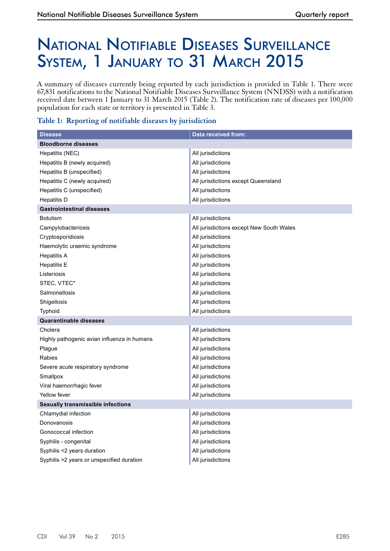# National Notifiable Diseases Surveillance SYSTEM, 1 JANUARY TO 31 MARCH 2015

A summary of diseases currently being reported by each jurisdiction is provided in Table 1. There were 67,831 notifications to the National Notifiable Diseases Surveillance System (NNDSS) with a notification received date between 1 January to 31 March 2015 (Table 2). The notification rate of diseases per 100,000 population for each state or territory is presented in Table 3.

### **Table 1: Reporting of notifiable diseases by jurisdiction**

| <b>Disease</b>                              | Data received from:                      |
|---------------------------------------------|------------------------------------------|
| <b>Bloodborne diseases</b>                  |                                          |
| Hepatitis (NEC)                             | All jurisdictions                        |
| Hepatitis B (newly acquired)                | All jurisdictions                        |
| Hepatitis B (unspecified)                   | All jurisdictions                        |
| Hepatitis C (newly acquired)                | All jurisdictions except Queensland      |
| Hepatitis C (unspecified)                   | All jurisdictions                        |
| <b>Hepatitis D</b>                          | All jurisdictions                        |
| <b>Gastrointestinal diseases</b>            |                                          |
| <b>Botulism</b>                             | All jurisdictions                        |
| Campylobacteriosis                          | All jurisdictions except New South Wales |
| Cryptosporidiosis                           | All jurisdictions                        |
| Haemolytic uraemic syndrome                 | All jurisdictions                        |
| <b>Hepatitis A</b>                          | All jurisdictions                        |
| <b>Hepatitis E</b>                          | All jurisdictions                        |
| Listeriosis                                 | All jurisdictions                        |
| STEC, VTEC*                                 | All jurisdictions                        |
| Salmonellosis                               | All jurisdictions                        |
| Shigellosis                                 | All jurisdictions                        |
| Typhoid                                     | All jurisdictions                        |
| <b>Quarantinable diseases</b>               |                                          |
| Cholera                                     | All jurisdictions                        |
| Highly pathogenic avian influenza in humans | All jurisdictions                        |
| Plague                                      | All jurisdictions                        |
| Rabies                                      | All jurisdictions                        |
| Severe acute respiratory syndrome           | All jurisdictions                        |
| Smallpox                                    | All jurisdictions                        |
| Viral haemorrhagic fever                    | All jurisdictions                        |
| Yellow fever                                | All jurisdictions                        |
| <b>Sexually transmissible infections</b>    |                                          |
| Chlamydial infection                        | All jurisdictions                        |
| Donovanosis                                 | All jurisdictions                        |
| Gonococcal infection                        | All jurisdictions                        |
| Syphilis - congenital                       | All jurisdictions                        |
| Syphilis <2 years duration                  | All jurisdictions                        |
| Syphilis >2 years or unspecified duration   | All jurisdictions                        |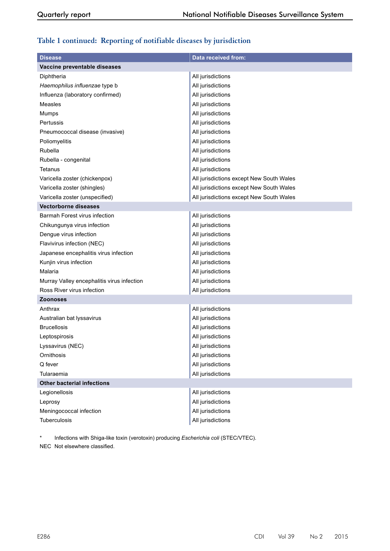## **Table 1 continued: Reporting of notifiable diseases by jurisdiction**

| <b>Disease</b>                             | <b>Data received from:</b>               |
|--------------------------------------------|------------------------------------------|
| Vaccine preventable diseases               |                                          |
| Diphtheria                                 | All jurisdictions                        |
| Haemophilus influenzae type b              | All jurisdictions                        |
| Influenza (laboratory confirmed)           | All jurisdictions                        |
| Measles                                    | All jurisdictions                        |
| Mumps                                      | All jurisdictions                        |
| Pertussis                                  | All jurisdictions                        |
| Pneumococcal disease (invasive)            | All jurisdictions                        |
| Poliomyelitis                              | All jurisdictions                        |
| Rubella                                    | All jurisdictions                        |
| Rubella - congenital                       | All jurisdictions                        |
| Tetanus                                    | All jurisdictions                        |
| Varicella zoster (chickenpox)              | All jurisdictions except New South Wales |
| Varicella zoster (shingles)                | All jurisdictions except New South Wales |
| Varicella zoster (unspecified)             | All jurisdictions except New South Wales |
| <b>Vectorborne diseases</b>                |                                          |
| Barmah Forest virus infection              | All jurisdictions                        |
| Chikungunya virus infection                | All jurisdictions                        |
| Dengue virus infection                     | All jurisdictions                        |
| Flavivirus infection (NEC)                 | All jurisdictions                        |
| Japanese encephalitis virus infection      | All jurisdictions                        |
| Kunjin virus infection                     | All jurisdictions                        |
| Malaria                                    | All jurisdictions                        |
| Murray Valley encephalitis virus infection | All jurisdictions                        |
| Ross River virus infection                 | All jurisdictions                        |
| <b>Zoonoses</b>                            |                                          |
| Anthrax                                    | All jurisdictions                        |
| Australian bat lyssavirus                  | All jurisdictions                        |
| <b>Brucellosis</b>                         | All jurisdictions                        |
| Leptospirosis                              | All jurisdictions                        |
| Lyssavirus (NEC)                           | All jurisdictions                        |
| Ornithosis                                 | All jurisdictions                        |
| Q fever                                    | All jurisdictions                        |
| Tularaemia                                 | All jurisdictions                        |
| <b>Other bacterial infections</b>          |                                          |
| Legionellosis                              | All jurisdictions                        |
| Leprosy                                    | All jurisdictions                        |
| Meningococcal infection                    | All jurisdictions                        |
| Tuberculosis                               | All jurisdictions                        |

Infections with Shiga-like toxin (verotoxin) producing *Escherichia coli* (STEC/VTEC).

NEC Not elsewhere classified.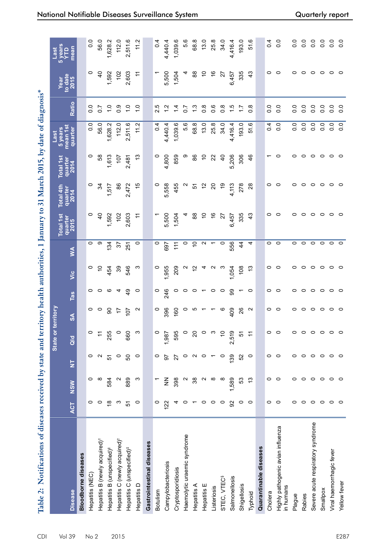| .<br>Statist                             |
|------------------------------------------|
|                                          |
| j                                        |
|                                          |
| $\sim$ 2015 km as<br>יש בנשבאבים ביט.    |
|                                          |
|                                          |
|                                          |
| $\cdots$ + $\sim$ 21 $\mathbb{N}^r$      |
|                                          |
|                                          |
|                                          |
|                                          |
|                                          |
|                                          |
|                                          |
|                                          |
|                                          |
|                                          |
| と こうかんせきかん ていり                           |
|                                          |
|                                          |
| Í                                        |
|                                          |
| enved by stat                            |
|                                          |
| )<br>}<br>}                              |
|                                          |
|                                          |
|                                          |
|                                          |
| ֧֧֧֧֧֧֧֚֚֚֚֚֚֚֚֚֚֚֚֚֚֚֚֚֚֚֚֚֚֚֚֝֝֝֝֝֜֜֜֝ |
|                                          |
|                                          |
|                                          |
| l                                        |
|                                          |
|                                          |
|                                          |
|                                          |
|                                          |

| Table 2: Notifications of diseases received by state and territory health authorities, 1 January to 31 March 2015, by date of diagnosis* |               |                   |                         |                 |                   |                 |                |               |                  |                   |                  |                     |                  |                 |                        |
|------------------------------------------------------------------------------------------------------------------------------------------|---------------|-------------------|-------------------------|-----------------|-------------------|-----------------|----------------|---------------|------------------|-------------------|------------------|---------------------|------------------|-----------------|------------------------|
|                                                                                                                                          |               |                   |                         | State or        | territory         |                 |                |               | <b>Total 1st</b> | Total 4th         | <b>Total 1st</b> | 5 years<br>Last     |                  | Year            | 5 years<br>YTD<br>Last |
| <b>Disease</b>                                                                                                                           | <b>ACT</b>    | <b>NSW</b>        | $\overline{\mathsf{z}}$ | $\frac{d}{d}$   | $\frac{8}{2}$     | Tas             | <b>Si</b>      | ≸             | quarter<br>2015  | quarter<br>2014   | quarter<br>2014  | mean 1st<br>quarter | Ratio            | to date<br>2015 | mean                   |
| <b>Bloodborne diseases</b>                                                                                                               |               |                   |                         |                 |                   |                 |                |               |                  |                   |                  |                     |                  |                 |                        |
| Hepatitis (NEC)                                                                                                                          | 0             | 0                 | 0                       | $\circ$         | 0                 | 0               | o              | 0             | 0                | 0                 | 0                | o.o                 | $\frac{0}{0}$    | 0               | $\overline{0}$ .       |
| Hepatitis B (newly acquired) <sup>†</sup>                                                                                                | 0             | $\infty$          | N                       | $\overline{1}$  | $\circ$           | 0               | S              | တ             | $\overline{4}$   | 34                | 38               | 56.0                | $\overline{0}$   | $\overline{4}$  | 56.0                   |
| Hepatitis B (unspecified) <sup>#</sup>                                                                                                   | $\frac{8}{1}$ | 584               | 5                       | 255             | ခ                 | ဖ               | 454            | 134           | 1,592            | 1,517             | 1,613            | 1,628.2             | $\frac{1}{2}$    | 1,592           | 1,628.2                |
| Hepatitis C (newly acquired) <sup>†</sup>                                                                                                | ო             | $\mathbf{\Omega}$ | $\circ$                 | $\circ$         | 17                | 4               | ၷ              | 22            | 102              | 86                | 107              | 112.0               | 0.9              | 102             | 112.0                  |
| Hepatitis C (unspecified) <sup>+</sup>                                                                                                   | 5             | 889               | 50                      | 660             | 107               | $\frac{9}{4}$   | 546            | 251           | 2,603            | 2,472             | 2,481            | 2,511.6             | $\frac{1}{2}$    | 2,603           | 2,511.6                |
| Hepatitis D                                                                                                                              | $\circ$       | က                 | $\circ$                 | ς               | $\sim$            | $\circ$         | က              | 0             | H                | 15                | చ                | 11.2                | $\frac{0}{1}$    | $\div$          | 11.2                   |
| Gastrointestinal diseases                                                                                                                |               |                   |                         |                 |                   |                 |                |               |                  |                   |                  |                     |                  |                 |                        |
| Botulism                                                                                                                                 | 0             |                   | $\circ$                 | $\circ$         | 0                 | $\circ$         | 0              | $\circ$       |                  | 0                 | 0                | $\overline{0}$      | 2.5              |                 | 0.4                    |
| Campylobacteriosis                                                                                                                       | 122           | $\frac{z}{z}$     | 56                      | 1,987           | 396               | 246             | 1,955          | 697           | 5,500            | 5,558             | 4,800            | 4,440.4             | 1.2              | 5,500           | 4,440.4                |
| Cryptosporidiosis                                                                                                                        |               | 398               | 27                      | 595             | 160               | 0               | 209            | 11            | 1,504            | 455               | 859              | 1,039.6             | $\dot{4}$        | 1,504           | 1,039.6                |
| Haemolytic uraemic syndrome                                                                                                              |               | N                 | 0                       | $\circ$         | 0                 | 0               | N              | 0             |                  | $\mathbf{\Omega}$ | တ                | 5.6                 | 20               | 4               | 5.6                    |
| Hepatitis A                                                                                                                              |               | 38                | $\mathbf{\Omega}$       | $\overline{c}$  | ယ                 | $\circ$         | $\overline{c}$ | $\tilde{c}$   | 88               | 5                 | 88               | 68.8                | $\frac{3}{2}$    | 88              | 68.8                   |
| Hepatitis E                                                                                                                              | $\circ$       | $\sim$            | $\circ$                 | $\circ$         |                   | $\overline{ }$  | 4              | $\sim$        | 5                | $\frac{2}{3}$     | $\tilde{a}$      | 13.0                | $\frac{8}{1}$    | S               | 13.0                   |
| Listeriosis                                                                                                                              | $\circ$       | ∞                 |                         | က               |                   | $\circ$         | N              |               | $\frac{6}{5}$    | $\overline{c}$    | ನ                | 25.8                | 0.6              | $\frac{6}{5}$   | 25.8                   |
| STEC, VTEC <sup>§</sup>                                                                                                                  | 0             | ∞                 | 0                       | $\overline{C}$  | O                 | $\circ$         | ო              | $\circ$       | 27               | ၁                 | ੩                | 34.0                | $0.\overline{8}$ | 27              | 34.0                   |
| Salmonellosis                                                                                                                            | 92            | 1,589             | 139                     | 2,519           | 409               | 99              | 1,054          | 556           | 457<br>ဖ         | 4,113             | 5,206            | 4,416.4             | $\frac{15}{1}$   | 6,457           | ,416.4<br>4            |
| Shigellosis                                                                                                                              | 0             | S3                | 52                      | 57              | 26                | ᠇               | 108            | $\frac{4}{4}$ | 335              | 278               | 306              | 193.0               | $\ddot{ }$       | 335             | 193.0                  |
| Typhoid                                                                                                                                  | $\circ$       | 13                | $\circ$                 | $\overline{1}$  | $\mathbf{\Omega}$ | $\circ$         | 5.             | 4             | $\frac{3}{4}$    | 28                | 46               | 51.6                | $0.\overline{8}$ | $\frac{3}{4}$   | 51.6                   |
| Quarantinable diseases                                                                                                                   |               |                   |                         |                 |                   |                 |                |               |                  |                   |                  |                     |                  |                 |                        |
| Cholera                                                                                                                                  | 0             | 0                 | 0                       | $\circ$         | 0                 | $\circ$         | 0              | 0             | 0                | 0                 | ᠇                | $\overline{0.4}$    | $\overline{0}$ . | 0               | $\overline{0}$         |
| Highly pathogenic avian influenza<br>in humans                                                                                           | $\circ$       | $\circ$           | $\circ$                 | $\circ$         | $\circ$           | $\circ$         | $\circ$        | $\circ$       | $\circ$          | $\circ$           | 0                | $\overline{0}$      | $\overline{0}$   | $\circ$         | $\frac{0}{0}$          |
| Plague                                                                                                                                   | 0             | 0                 | 0                       | $\circ$         | 0                 | 0               | 0              | 0             | 0                | っ                 | 0                | 0.0                 | 0.0              | 0               | $\frac{0}{0}$          |
| Rabies                                                                                                                                   | 0             | $\circ$           | $\circ$                 | $\circ$         | $\circ$           | $\circ$         | $\circ$        | 0             | 0                | 0                 | $\circ$          | $\overline{0}$      | $\overline{0}$   | $\circ$         | $\frac{0}{0}$          |
| Severe acute respiratory syndrome                                                                                                        | $\circ$       | $\circ$           | $\circ$                 | $\circ$ $\circ$ | $\circ$           | $\circ$ $\circ$ | $\circ$        | $\circ$       | $\circ$          | $\circ$           | $\circ$          | $\overline{0}$ .    | $\overline{0}$ . | $\circ$         | $\overline{0}$ .       |
| Smallpox                                                                                                                                 | 0             | $\circ$           | $\circ$                 |                 | $\circ$           |                 | $\circ$        | 0             | 0                | 0                 | $\circ$          | $\overline{0}$ .    | $\frac{0}{2}$    | $\circ$         | $\overline{0}$ .       |
| Viral haemorrhagic fever                                                                                                                 | $\circ$       | $\circ$           | $\circ$                 | $\circ$         | $\circ$           | $\circ$         | $\circ$        | $\circ$       | $\circ$          | $\circ$           | $\circ$          | 0.0                 | 0.0              | $\circ$         | $\frac{0}{0}$          |
| Yellow fever                                                                                                                             | $\circ$       | $\circ$           | $\circ$                 | $\circ$         | $\circ$           | $\circ$         | $\circ$        | $\circ$       | $\circ$          | $\circ$           | $\circ$          | 0.0                 | $\overline{0}$   | $\circ$         | $\overline{0}$         |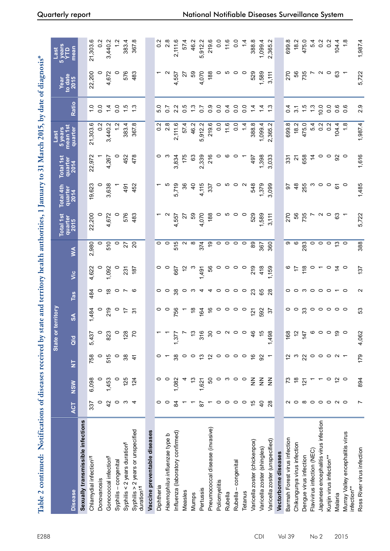| Table 2 continued: Notifications of diseases received by state and territory health authorities, 1 January to 31 March 2015, by date of diagnosis* |                         |                  |                         |                     |                             |                        |               |                 |                 |                 |                 |                     |                  |                         |                        |
|----------------------------------------------------------------------------------------------------------------------------------------------------|-------------------------|------------------|-------------------------|---------------------|-----------------------------|------------------------|---------------|-----------------|-----------------|-----------------|-----------------|---------------------|------------------|-------------------------|------------------------|
|                                                                                                                                                    |                         |                  |                         | State or            | territory                   |                        |               |                 | Total 1st       | Total 4th       | Total 1st       | 5 years<br>Last     |                  |                         | 5 years<br>YTD<br>Last |
| <b>Disease</b>                                                                                                                                     | <b>ACT</b>              | NSW              | $\overline{\mathsf{z}}$ | $\overline{a}$      | $\frac{4}{3}$               | Tas                    | <b>Si</b>     | ≸               | quarter<br>2015 | quarter<br>2014 | quarter<br>2014 | mean 1st<br>quarter | Ratio            | Year<br>to date<br>2015 | mean                   |
| Sexually transmissible infections                                                                                                                  |                         |                  |                         |                     |                             |                        |               |                 |                 |                 |                 |                     |                  |                         |                        |
| Chlamydial infection <sup>11,1</sup>                                                                                                               | 337                     | 6,098            | 758                     | 5,437               | 1,484                       | 484                    | 4,622         | 2,980           | 22,200          | 19,623          | 22,972          | 21,303.6            | $\frac{0}{1}$    | 22,200                  | 21,303.6               |
| Donovanosis                                                                                                                                        | 0                       | 0                | $\circ$                 | $\circ$             | 0                           | 0                      | 0             | 0               | 0               | 0               |                 | $\frac{2}{2}$       | $\frac{0}{0}$    | 0                       | $\frac{2}{5}$          |
| Gonococcal infection <sup>1</sup>                                                                                                                  | $\overline{4}$          | 1,453            | 515                     | 823                 | 219                         | $\frac{\infty}{2}$     | ,092          | 510             | 4,672           | 3,638           | ,267<br>4       | ,440.2<br>S         | $1\overline{4}$  | 4,672                   | 3,440.2                |
| Syphilis-congenital                                                                                                                                | $\circ$                 | $\circ$          | $\circ$                 | $\circ$             | $\circ$                     |                        | $\circ$       | $\circ$         | $\circ$         |                 | 0               | 12                  | $\frac{0}{2}$    | $\circ$                 |                        |
| Syphilis < $2$ years duration <sup>1</sup>                                                                                                         | က                       | 125              | 38                      | 128                 | $\overline{1}$              | $\circ$ $\sim$ $\circ$ | 231           | 27              | 576             | 491             | 452             | 383.4               | $\frac{15}{1}$   | 576                     | 383.4                  |
| Syphilis > 2 years or unspecified<br>duration <sup>#,fl</sup>                                                                                      | $\overline{4}$          | 124              | $\frac{4}{3}$           | 20                  | $\overline{5}$              |                        | 187           | $\overline{20}$ | 483             | 452             | 478             | 367.8               | $\frac{3}{2}$    | 483                     | 367.8                  |
| Vaccine preventable diseases                                                                                                                       |                         |                  |                         |                     |                             |                        |               |                 |                 |                 |                 |                     |                  |                         |                        |
| Diphtheria                                                                                                                                         | 0                       | 0                |                         |                     | 0                           | $\circ$                |               | $\circ$         |                 |                 | 0               | 0.2                 | 5.0              |                         | $\frac{2}{5}$          |
| Haemophilus influenzae type b                                                                                                                      | 0                       | $\circ$          |                         |                     | $\circ$                     | $\circ$                |               | 0               |                 |                 | ო               | 2.8                 | $\overline{0}$   | $\sim$                  | 2.8                    |
| Influenza (laboratory confirmed)                                                                                                                   | 84                      | 1,082            | 38                      | 1,377               | 756                         | 38                     | 667           | 515             | 4,557           | 5,719           | 3,834           | 2,111.6             | 2.2              | 4,557                   | 2,111.6                |
| Measles                                                                                                                                            |                         |                  | 0                       |                     |                             | 0                      |               | $\sim$          | 27              | ని              | 175             | 57.4                | 5.0              | 27                      | 57.4                   |
| Mumps                                                                                                                                              |                         | స                | 0                       | $\tilde{c}$         | $\frac{8}{2}$               | ო                      |               | œ               | SG              | $\overline{a}$  | 63              | 46.2                | $\frac{3}{2}$    | SG                      | 46.2                   |
| Pertussis                                                                                                                                          | 55                      | 1,621            | 13                      | 316                 | 164                         | 4                      | 1,491         | 374             | 4,070           | 4,115           | 2,339           | 5,912.2             | $\sim$           | 4,070                   | 5,912.2                |
| Pneumococcal disease (invasive)                                                                                                                    |                         | SO               | $\overline{c}$          | 30                  | $\frac{6}{5}$               |                        | 99            | ၁               | 188             | 337             | 216             | 219.6               | $\frac{0}{2}$    | 188                     | 219.6                  |
| Poliomyelitis                                                                                                                                      | 0                       | 0                | $\circ$                 | $\circ$             | 0                           | 4 ○                    | 0             | 0               |                 | 0               | 0               | $\overline{0}$      | $\frac{0}{0}$    |                         | 0.0                    |
| Rubella                                                                                                                                            | $\circ$                 | ო                | 0                       | $\boldsymbol{\sim}$ | 0                           | $\circ$                | 0             | 0               | ഥ               | ம               | ဖ               | 11.6                | $\overline{0.4}$ | ഥ                       | 11.6                   |
| Rubella - congenital                                                                                                                               | $\circ$                 | $\circ$          | $\circ$                 | $\circ$             | $\circ$                     | $\circ$                | 0             | $\circ$         | 0               | $\circ$         | 0               | $\overline{0}$      | $\overline{0}$   | $\circ$                 | $\frac{0}{0}$          |
| <b>Tetanus</b>                                                                                                                                     | $\circ$                 | $\circ$          | 0                       | $\circ$             | $\circ$                     | $\circ$                | $\circ$       | $\circ$         | $\circ$         | $\sim$          |                 | 14                  | $\frac{0}{2}$    | $\circ$                 |                        |
| Varicella zoster (chickenpox)                                                                                                                      | $\frac{1}{2}$           | $\sum_{i=1}^{n}$ | $\frac{6}{5}$           | 46                  | 121                         | 23                     | 219           | 89              | 529             | 548             | 497             | 388.8               | $\frac{4}{3}$    | 529                     | 388.8                  |
| Varicella zoster (shingles)                                                                                                                        | $\overline{4}$          | $\frac{z}{z}$    | 92                      | 15                  | 592                         | 65                     | 418           | 367             | 1,589           | 1,379           | 1,398           | 1,099.4             | $\overline{4}$   | 1,589                   | 1,099.4                |
| Varicella zoster (unspecified)                                                                                                                     | 28                      | $\frac{z}{z}$    |                         | 1,498               | 22                          | $\overline{28}$        | 1,159         | 360             | 3,111           | 3,099           | 3,033           | 2,365.2             | 1.3              | 3,111                   | 2,365.2                |
| Vectorborne diseases                                                                                                                               |                         |                  |                         |                     |                             |                        |               |                 |                 |                 |                 |                     |                  |                         |                        |
| Barmah Forest virus infection                                                                                                                      | ∾                       | 73               | 12                      | 168                 | 0                           | 0                      | ဖ             | თ               | 270             | 56              | 331             | 699.8               | $\overline{0}$   | 270                     | 699.8                  |
| Chikungunya virus infection                                                                                                                        | $\circ$                 | $\frac{8}{5}$    | ო                       | $\frac{2}{3}$       | $\circ$                     | $\circ$                | 17            | ဖ               | 56              | $\frac{8}{3}$   | 24              | 18.2                | $\overline{3}$   | 99                      | 18.2                   |
| Dengue virus infection                                                                                                                             | $\infty$                | 121              | 22                      | 147                 | ္ဘ                          | <b>ന</b>               | 118           | 283             | 735             | 255             | 658             | 475.0               | 1.5              | 735                     | 475.0                  |
| Flavivirus infection (NEC)                                                                                                                         | $\circ$ $\circ$ $\circ$ |                  | $\circ$                 | $\circ$             |                             | $\circ \circ \circ$    | o             | $\circ$         |                 | ო               | $\overline{4}$  | 5.4                 | 1.3              |                         | 5.4                    |
| Japanese encephalitis virus infection                                                                                                              |                         |                  | $\circ$                 | $\circ$             |                             |                        |               | $\circ$         | $\sim$          | $\circ$         | 0               | 0.2                 | 10.0             | $\sim$ $\sim$           | $0.\overline{2}$       |
| Kunjin virus infection**                                                                                                                           |                         | $\circ$          | 0                       | $\circ$             |                             |                        | $\circ$       | 0               | 0               | $\circ$         | 0               | 0.2                 | $\overline{0}$   |                         | 0.2                    |
| Malaria                                                                                                                                            | $\sim$ $\sim$           | $\overline{c}$   | $\boldsymbol{\sim}$     | <u>ღ</u>            | $\circ\circ\circ\circ\circ$ | $\sim$ 0               | $\tilde{a}$ o | $\frac{13}{2}$  | 63              | 61              | $\frac{8}{9}$   | 104.4               | $0.\overline{6}$ | 63                      | 104.4                  |
| Murray Valley encephalitis virus<br>infection**                                                                                                    |                         | $\circ$          |                         | $\circ$             |                             |                        |               |                 |                 | $\circ$         |                 | 1.8                 | 0.6              |                         | $\frac{8}{1}$          |
| Ross River virus infection                                                                                                                         | Ľ                       | 894              | 179                     | 4,062               | S3                          | $\mathbf{\Omega}$      | 137           | 388             | 5,722           | 1,485           | 1,616           | 1,987.4             | 2.9              | 5,722                   | 1,987.4                |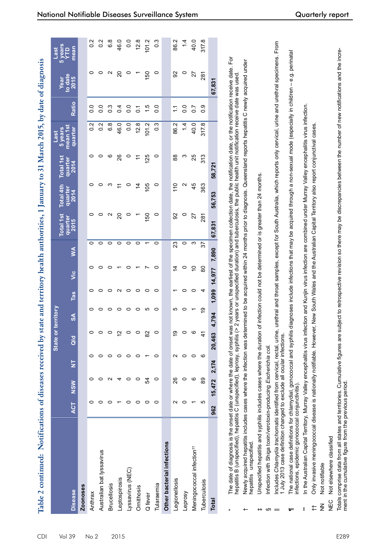| i<br>Santa Co                                                 |  |
|---------------------------------------------------------------|--|
|                                                               |  |
| $\sim$ 2015 $\sim$ 1. $\sim$ 1. $\sim$ 1.<br><b>Contract</b>  |  |
|                                                               |  |
| 4.21                                                          |  |
|                                                               |  |
| The Therman                                                   |  |
| $-31M$                                                        |  |
| j                                                             |  |
| i<br>1                                                        |  |
|                                                               |  |
| ļ                                                             |  |
| ֖֖֪ׅ֚֚֚֚֚֚֚֚֚֚֚֚֚֚֚֚֚֬֝֝֝֝֝֝֬֝֝֬֝֬֝֝֬֝֬֝֓֝֬֝֬֝֓֬֝֬֝֓֬֝֓֬֝֬֝֝֬ |  |
|                                                               |  |
|                                                               |  |
|                                                               |  |
| こうしゅうそう ひんきょう                                                 |  |
|                                                               |  |
|                                                               |  |
|                                                               |  |
|                                                               |  |
|                                                               |  |
| u MIN                                                         |  |
| land has cita and taritarian                                  |  |
| san ha m                                                      |  |
|                                                               |  |
|                                                               |  |
|                                                               |  |
|                                                               |  |
|                                                               |  |
|                                                               |  |
|                                                               |  |
|                                                               |  |
|                                                               |  |
|                                                               |  |
|                                                               |  |
|                                                               |  |
|                                                               |  |
|                                                               |  |
|                                                               |  |
|                                                               |  |
|                                                               |  |
|                                                               |  |
|                                                               |  |
|                                                               |  |

|                                       |                 |              |                          | State o |               |              |           |       | <b>Total 1st</b>      | Total 4th         | <b>Total 1st</b> | 5 years<br>Last     |                  | Year                  | 5 year<br>Last   |
|---------------------------------------|-----------------|--------------|--------------------------|---------|---------------|--------------|-----------|-------|-----------------------|-------------------|------------------|---------------------|------------------|-----------------------|------------------|
| <b>Disease</b>                        | <b>ACT</b>      | <b>NSW</b>   | $\overline{\mathsf{z}}$  | Qld     | $\frac{8}{2}$ | Tas          | ن<br>آ    | Š     | quarter<br>2015       | quarter<br>2014   | quartel<br>2014  | mean 1st<br>quarter | Ratio            | to date<br>$2015$     | mean<br>Ê        |
| Zoonoses                              |                 |              |                          |         |               |              |           |       |                       |                   |                  |                     |                  |                       |                  |
| Anthrax                               |                 |              |                          |         | o             |              |           | O     | $\circ$               |                   | 0                | $\frac{2}{1}$       | $\frac{0}{0}$    | $\circ$               | $0.\overline{2}$ |
| Australian bat lyssavirus             |                 |              |                          |         |               |              |           |       |                       |                   |                  | $\frac{2}{3}$       | $\frac{0}{0}$    |                       | $0.\overline{2}$ |
| <b>Brucellosis</b>                    |                 |              |                          |         |               |              |           |       | $\mathbf{\mathsf{N}}$ |                   | ဖ                | 6.8                 | $\frac{3}{2}$    | $\mathbf{\mathsf{N}}$ | $6.\overline{8}$ |
| Leptospirosis                         |                 | 4            |                          | 'n      |               |              |           |       | 20                    | H                 | 26               | 46.0                | $\overline{0.4}$ | $\overline{c}$        | 46.0             |
| Lyssavirus (NEC)                      |                 |              |                          |         |               |              |           |       | $\circ$               |                   | $\circ$          | $\overline{0}$ .    | $\frac{0}{0}$    | $\circ$               | 0.0              |
| Ornithosis                            |                 |              |                          |         |               |              |           |       |                       | $rac{4}{4}$       | $\div$           | 12.8                | 2                |                       | 12.8             |
| Q fever                               |                 | 54           |                          | 8       | ഥ             | 0            |           |       | 150                   | 105               | 125              | 101.2               | $\frac{1}{1}$    | 150                   | 101.2            |
| Tularaemia                            | 0               | 0            | 0                        |         | 0             | 0            | 0         | 0     | $\circ$               | 0                 | $\circ$          | $\frac{3}{2}$       | $\frac{0}{0}$    | $\circ$               | $\frac{3}{2}$    |
| Other bacterial infections            |                 |              |                          |         |               |              |           |       |                       |                   |                  |                     |                  |                       |                  |
| Legionellosis                         | $\mathsf{\sim}$ | 26           | $\scriptstyle\mathtt{N}$ | ဍ       | ഥ             |              | $\dot{4}$ | 23    | 92                    | $\frac{10}{11}$   | 88               | 86.2                | $\ddot{ }$       | 92                    | 86.2             |
| Leprosy                               |                 | c            |                          |         |               |              | 0         | 0     | 0                     | $\mathbf{\Omega}$ | ო                | 14                  | $\overline{0}$ . | $\circ$               | 1.4              |
| Meningococcal infection <sup>t+</sup> |                 | ဖ            | 0                        |         |               |              | 5         | ო     | 27                    | 45                | 25               | 40.0                | $\overline{0.7}$ | 27                    | 40.0             |
| Tuberculosis                          | ю               | 89           | ဖ                        | 4       | စ္            | 4            | 80        | 22    | 281                   | 363               | 313              | 317.8               | 0.9              | 281                   | 317.8            |
| <b>Total</b>                          | 962             | 15,472 2,174 |                          | 20,463  | 4,794         | 1,099 14,977 |           | 7,890 | 67,831                | 56,753            | 58,721           |                     |                  | 67,831                |                  |

- $\overline{F}$ \* The date of diagnosis is the onset date or where the date of onset was not known, the earliest of the specimen collection date, the notification date, or the notification receive date. For The date of diagnosis is the onset date or where the date of onset was not known, the earliest of the specimen collection date, the notification date, or the notification receive date. I<br>hepattis B (unspecified), hepattis (unspecified), leprosy, syphilis (> 2 years or unspecified duration) and tuberculosis, the public health unit notification receive date was used. hepatitis B (unspecified), hepatitis
- Newly acquired hepatitis includes cases where the infection was determined to be acquired within 24 months prior to diagnosis. Queensland reports hepatitis C newly acquired under newly acquired under † Newly acquired hepatitis includes cases where the infection was determined to be acquired within 24 months prior to diagnosis. Queensland reports hepatitis hepatitis unspecified. nepatitis un specified
- Jnspecified hepatitis and syphilis includes cases where the duration of infection could not be determined or is greater than 24 months. ‡ Unspecified hepatitis and syphilis includes cases where the duration of infection could not be determined or is greater than 24 months.
- nfection with Shiga toxin/verotoxin-producing Escherichia coli. Infection with Shiga toxin/verotoxin-producing *Escherichia coli.*  $\omega =$

 $+$ 

- ncludes Chlamydia trachomatis identified from cervical, rectal, urine, urethral and throat samples, except for South Australia, which reports only cervical, urine and urethral specimens. From || Includes *Chlamydia trachomatis* identified from cervical, rectal, urine, urethral and throat samples, except for South Australia, which reports only cervical, urine and urethral specimens. From July 2013 case definition changed to exclude all ocular infections. 1 July 2013 case definition changed to exclude all ocular infections
- The national case definitions for chlamydial, gonococcal and syphilis diagnoses include infections that may be acquired through a non-sexual mode (especially in children e.g. perinatal – e.g. perinatal  $\P$  The national case definitions for chlamydial, gonococcal and syphilis diagnoses include infections that may be acquired through a non-sexual mode (especially in children nfections, epidemic gonococcal conjunctivitis). infections, epidemic gonococcal conjunctivitis).  $\equiv$
- n the Australian Capital Territory, Murray Valley encephalitis virus infection and Kunjin virus infection are combined under Murray Valley encephalitis virus infection. \*\* In the Australian Capital Territory, Murray Valley encephalitis virus infection and Kunjin virus infection are combined under Murray Valley encephalitis virus infection. ŧ
- Only invasive meningococcal disease is nationally notifiable. However, New South Wales and the Australian Capital Territory also report conjunctival cases. †† Only invasive meningococcal disease is nationally notifiable. However, New South Wales and the Australian Capital Territory also report conjunctival cases.  $\pm$
- NN Not notifiable **Not notifiable**  $rac{z}{z}$
- Not elsewhere classified NEC Not elsewhere classified NEC

comprise data from all states and territories. Cumulative figures are subject to retrospective revision so there may be discrepancies between the number of new notifications and the incre-Totals comprise data from all states and territories. Cumulative figures are subject to retrospective revision so there may be discrepancies between the number of new notifications and the increment in the cumulative figure from the previous period. ment in the cumulative figure from the previous period Totals

 $\begin{array}{ccc}\n\circ & \circ & \circ & \circ & \circ \\
\end{array}$ 

 $\begin{array}{ccccccccc}\n&\ddots&\ddots&\ddots&\ddots&\ddots\n\end{array}$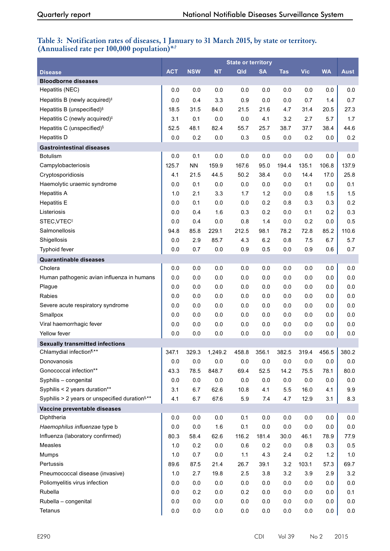# **Table 3: Notification rates of diseases, 1 January to 31 March 2015, by state or territory. (Annualised rate per 100,000 population)\*,†**

|                                                            |            |            |           | <b>State or territory</b> |           |            |            |           |             |
|------------------------------------------------------------|------------|------------|-----------|---------------------------|-----------|------------|------------|-----------|-------------|
| <b>Disease</b>                                             | <b>ACT</b> | <b>NSW</b> | <b>NT</b> | Qld                       | <b>SA</b> | <b>Tas</b> | <b>Vic</b> | <b>WA</b> | <b>Aust</b> |
| <b>Bloodborne diseases</b>                                 |            |            |           |                           |           |            |            |           |             |
| Hepatitis (NEC)                                            | 0.0        | 0.0        | 0.0       | 0.0                       | 0.0       | 0.0        | 0.0        | 0.0       | 0.0         |
| Hepatitis B (newly acquired) <sup>#</sup>                  | 0.0        | 0.4        | 3.3       | 0.9                       | 0.0       | 0.0        | 0.7        | 1.4       | 0.7         |
| Hepatitis B (unspecified) <sup>§</sup>                     | 18.5       | 31.5       | 84.0      | 21.5                      | 21.6      | 4.7        | 31.4       | 20.5      | 27.3        |
| Hepatitis C (newly acquired) <sup>#</sup>                  | 3.1        | 0.1        | 0.0       | 0.0                       | 4.1       | 3.2        | 2.7        | 5.7       | 1.7         |
| Hepatitis C (unspecified) <sup>§</sup>                     | 52.5       | 48.1       | 82.4      | 55.7                      | 25.7      | 38.7       | 37.7       | 38.4      | 44.6        |
| <b>Hepatitis D</b>                                         | 0.0        | 0.2        | 0.0       | 0.3                       | 0.5       | 0.0        | 0.2        | 0.0       | 0.2         |
| <b>Gastrointestinal diseases</b>                           |            |            |           |                           |           |            |            |           |             |
| <b>Botulism</b>                                            | 0.0        | 0.1        | 0.0       | 0.0                       | 0.0       | 0.0        | 0.0        | 0.0       | 0.0         |
| Campylobacteriosis                                         | 125.7      | <b>NN</b>  | 159.9     | 167.6                     | 95.0      | 194.4      | 135.1      | 106.8     | 137.9       |
| Cryptosporidiosis                                          | 4.1        | 21.5       | 44.5      | 50.2                      | 38.4      | 0.0        | 14.4       | 17.0      | 25.8        |
| Haemolytic uraemic syndrome                                | 0.0        | 0.1        | 0.0       | 0.0                       | 0.0       | 0.0        | 0.1        | 0.0       | 0.1         |
| <b>Hepatitis A</b>                                         | 1.0        | 2.1        | 3.3       | 1.7                       | 1.2       | 0.0        | 0.8        | 1.5       | 1.5         |
| <b>Hepatitis E</b>                                         | 0.0        | 0.1        | 0.0       | 0.0                       | 0.2       | 0.8        | 0.3        | 0.3       | 0.2         |
| Listeriosis                                                | 0.0        | 0.4        | 1.6       | 0.3                       | 0.2       | 0.0        | 0.1        | 0.2       | 0.3         |
| STEC, VTEC <sup>II</sup>                                   | 0.0        | 0.4        | 0.0       | 0.8                       | 1.4       | 0.0        | 0.2        | 0.0       | 0.5         |
| Salmonellosis                                              | 94.8       | 85.8       | 229.1     | 212.5                     | 98.1      | 78.2       | 72.8       | 85.2      | 110.6       |
| Shigellosis                                                | 0.0        | 2.9        | 85.7      | 4.3                       | 6.2       | 0.8        | 7.5        | 6.7       | 5.7         |
| Typhoid fever                                              | 0.0        | 0.7        | 0.0       | 0.9                       | 0.5       | 0.0        | 0.9        | 0.6       | 0.7         |
| <b>Quarantinable diseases</b>                              |            |            |           |                           |           |            |            |           |             |
| Cholera                                                    | 0.0        | 0.0        | 0.0       | 0.0                       | 0.0       | 0.0        | $0.0\,$    | 0.0       | 0.0         |
| Human pathogenic avian influenza in humans                 | 0.0        | 0.0        | 0.0       | 0.0                       | 0.0       | 0.0        | 0.0        | 0.0       | 0.0         |
| Plague                                                     | 0.0        | 0.0        | 0.0       | 0.0                       | 0.0       | 0.0        | 0.0        | 0.0       | 0.0         |
| Rabies                                                     | 0.0        | 0.0        | 0.0       | 0.0                       | 0.0       | 0.0        | 0.0        | 0.0       | 0.0         |
| Severe acute respiratory syndrome                          | 0.0        | 0.0        | 0.0       | 0.0                       | 0.0       | 0.0        | 0.0        | 0.0       | 0.0         |
| Smallpox                                                   | 0.0        | 0.0        | 0.0       | 0.0                       | 0.0       | 0.0        | 0.0        | 0.0       | 0.0         |
| Viral haemorrhagic fever                                   | 0.0        | 0.0        | 0.0       | $0.0\,$                   | $0.0\,$   | 0.0        | $0.0\,$    | 0.0       | 0.0         |
| Yellow fever                                               | 0.0        | 0.0        | 0.0       | 0.0                       | $0.0\,$   | 0.0        | $0.0\,$    | 0.0       | 0.0         |
| <b>Sexually transmitted infections</b>                     |            |            |           |                           |           |            |            |           |             |
| Chlamydial infection <sup>1,**</sup>                       | 347.1      | 329.3      | 1,249.2   | 458.8                     | 356.1     | 382.5      | 319.4      | 456.5     | 380.2       |
| Donovanosis                                                | 0.0        | 0.0        | 0.0       | 0.0                       | 0.0       | 0.0        | 0.0        | 0.0       | $0.0\,$     |
| Gonococcal infection**                                     | 43.3       | 78.5       | 848.7     | 69.4                      | 52.5      | 14.2       | 75.5       | 78.1      | 80.0        |
| Syphilis - congenital                                      | $0.0\,$    | 0.0        | 0.0       | $0.0\,$                   | $0.0\,$   | 0.0        | $0.0\,$    | 0.0       | 0.0         |
| Syphilis < 2 years duration**                              | 3.1        | 6.7        | 62.6      | 10.8                      | 4.1       | 5.5        | 16.0       | 4.1       | 9.9         |
| Syphilis > 2 years or unspecified duration <sup>§,**</sup> | 4.1        | 6.7        | 67.6      | 5.9                       | 7.4       | 4.7        | 12.9       | 3.1       | 8.3         |
| Vaccine preventable diseases                               |            |            |           |                           |           |            |            |           |             |
| Diphtheria                                                 | 0.0        | 0.0        | $0.0\,$   | 0.1                       | $0.0\,$   | 0.0        | $0.0\,$    | 0.0       | 0.0         |
| Haemophilus influenzae type b                              | 0.0        | 0.0        | 1.6       | 0.1                       | $0.0\,$   | 0.0        | $0.0\,$    | 0.0       | $0.0\,$     |
| Influenza (laboratory confirmed)                           | 80.3       | 58.4       | 62.6      | 116.2                     | 181.4     | 30.0       | 46.1       | 78.9      | 77.9        |
| Measles                                                    | 1.0        | 0.2        | $0.0\,$   | 0.6                       | 0.2       | 0.0        | 0.8        | 0.3       | 0.5         |
| Mumps                                                      | 1.0        | 0.7        | 0.0       | $1.1$                     | 4.3       | 2.4        | 0.2        | 1.2       | $1.0$       |
| Pertussis                                                  | 89.6       | 87.5       | 21.4      | 26.7                      | 39.1      | 3.2        | 103.1      | 57.3      | 69.7        |
| Pneumococcal disease (invasive)                            | 1.0        | 2.7        | 19.8      | 2.5                       | 3.8       | 3.2        | 3.9        | 2.9       | 3.2         |
| Poliomyelitis virus infection                              | 0.0        | 0.0        | 0.0       | $0.0\,$                   | $0.0\,$   | 0.0        | 0.0        | 0.0       | $0.0\,$     |
| Rubella                                                    | 0.0        | 0.2        | $0.0\,$   | 0.2                       | $0.0\,$   | 0.0        | 0.0        | 0.0       | 0.1         |
| Rubella - congenital                                       | 0.0        | 0.0        | $0.0\,$   | 0.0                       | $0.0\,$   | 0.0        | $0.0\,$    | 0.0       | 0.0         |
| Tetanus                                                    | 0.0        | $0.0\,$    | $0.0\,$   | 0.0                       | $0.0\,$   | 0.0        | 0.0        | 0.0       | 0.0         |